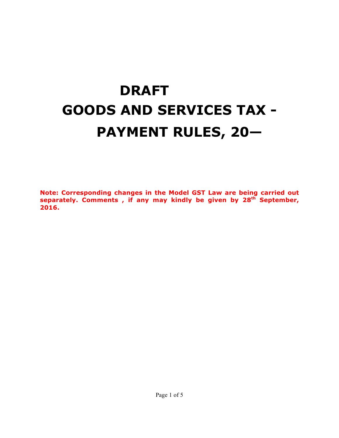# **DRAFT GOODS AND SERVICES TAX - PAYMENT RULES, 20—**

**Note: Corresponding changes in the Model GST Law are being carried out separately. Comments , if any may kindly be given by 28th September, 2016.**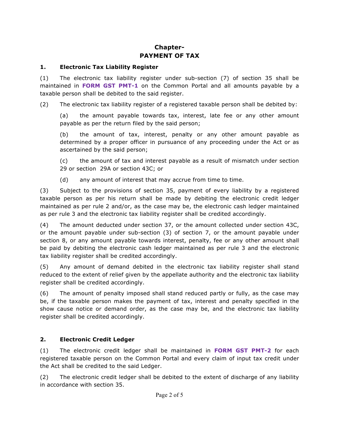## **Chapter-PAYMENT OF TAX**

#### **1. Electronic Tax Liability Register**

(1) The electronic tax liability register under sub-section (7) of section 35 shall be maintained in **FORM GST PMT-1** on the Common Portal and all amounts payable by a taxable person shall be debited to the said register.

(2) The electronic tax liability register of a registered taxable person shall be debited by:

(a) the amount payable towards tax, interest, late fee or any other amount payable as per the return filed by the said person;

(b) the amount of tax, interest, penalty or any other amount payable as determined by a proper officer in pursuance of any proceeding under the Act or as ascertained by the said person;

(c) the amount of tax and interest payable as a result of mismatch under section 29 or section 29A or section 43C; or

(d) any amount of interest that may accrue from time to time.

(3) Subject to the provisions of section 35, payment of every liability by a registered taxable person as per his return shall be made by debiting the electronic credit ledger maintained as per rule 2 and/or, as the case may be, the electronic cash ledger maintained as per rule 3 and the electronic tax liability register shall be credited accordingly.

(4) The amount deducted under section 37, or the amount collected under section 43C, or the amount payable under sub-section (3) of section 7, or the amount payable under section 8, or any amount payable towards interest, penalty, fee or any other amount shall be paid by debiting the electronic cash ledger maintained as per rule 3 and the electronic tax liability register shall be credited accordingly.

(5) Any amount of demand debited in the electronic tax liability register shall stand reduced to the extent of relief given by the appellate authority and the electronic tax liability register shall be credited accordingly.

(6) The amount of penalty imposed shall stand reduced partly or fully, as the case may be, if the taxable person makes the payment of tax, interest and penalty specified in the show cause notice or demand order, as the case may be, and the electronic tax liability register shall be credited accordingly.

#### **2. Electronic Credit Ledger**

(1) The electronic credit ledger shall be maintained in **FORM GST PMT-2** for each registered taxable person on the Common Portal and every claim of input tax credit under the Act shall be credited to the said Ledger.

(2) The electronic credit ledger shall be debited to the extent of discharge of any liability in accordance with section 35.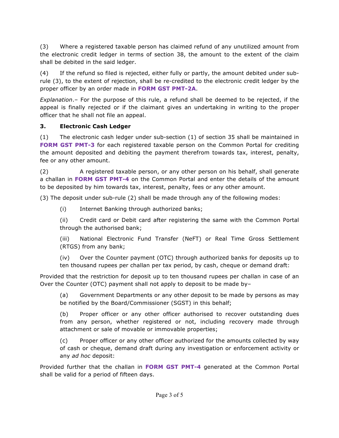(3) Where a registered taxable person has claimed refund of any unutilized amount from the electronic credit ledger in terms of section 38, the amount to the extent of the claim shall be debited in the said ledger.

(4) If the refund so filed is rejected, either fully or partly, the amount debited under subrule (3), to the extent of rejection, shall be re-credited to the electronic credit ledger by the proper officer by an order made in **FORM GST PMT-2A**.

*Explanation*.– For the purpose of this rule, a refund shall be deemed to be rejected, if the appeal is finally rejected or if the claimant gives an undertaking in writing to the proper officer that he shall not file an appeal.

### **3. Electronic Cash Ledger**

(1) The electronic cash ledger under sub-section (1) of section 35 shall be maintained in **FORM GST PMT-3** for each registered taxable person on the Common Portal for crediting the amount deposited and debiting the payment therefrom towards tax, interest, penalty, fee or any other amount.

(2) A registered taxable person, or any other person on his behalf, shall generate a challan in **FORM GST PMT-4** on the Common Portal and enter the details of the amount to be deposited by him towards tax, interest, penalty, fees or any other amount.

(3) The deposit under sub-rule (2) shall be made through any of the following modes:

(i) Internet Banking through authorized banks;

(ii) Credit card or Debit card after registering the same with the Common Portal through the authorised bank;

(iii) National Electronic Fund Transfer (NeFT) or Real Time Gross Settlement (RTGS) from any bank;

(iv) Over the Counter payment (OTC) through authorized banks for deposits up to ten thousand rupees per challan per tax period, by cash, cheque or demand draft:

Provided that the restriction for deposit up to ten thousand rupees per challan in case of an Over the Counter (OTC) payment shall not apply to deposit to be made by–

(a) Government Departments or any other deposit to be made by persons as may be notified by the Board/Commissioner (SGST) in this behalf;

(b) Proper officer or any other officer authorised to recover outstanding dues from any person, whether registered or not, including recovery made through attachment or sale of movable or immovable properties;

(c) Proper officer or any other officer authorized for the amounts collected by way of cash or cheque, demand draft during any investigation or enforcement activity or any *ad hoc* deposit:

Provided further that the challan in **FORM GST PMT-4** generated at the Common Portal shall be valid for a period of fifteen days.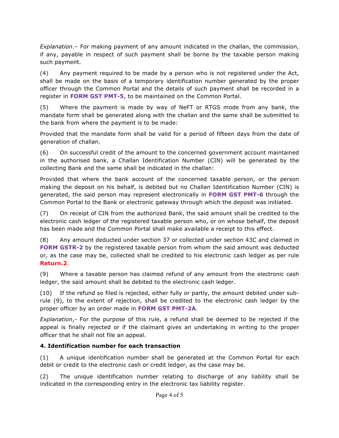*Explanation*.– For making payment of any amount indicated in the challan, the commission, if any, payable in respect of such payment shall be borne by the taxable person making such payment.

(4) Any payment required to be made by a person who is not registered under the Act, shall be made on the basis of a temporary identification number generated by the proper officer through the Common Portal and the details of such payment shall be recorded in a register in **FORM GST PMT-5**, to be maintained on the Common Portal.

(5) Where the payment is made by way of NeFT or RTGS mode from any bank, the mandate form shall be generated along with the challan and the same shall be submitted to the bank from where the payment is to be made:

Provided that the mandate form shall be valid for a period of fifteen days from the date of generation of challan.

(6) On successful credit of the amount to the concerned government account maintained in the authorised bank, a Challan Identification Number (CIN) will be generated by the collecting Bank and the same shall be indicated in the challan:

Provided that where the bank account of the concerned taxable person, or the person making the deposit on his behalf, is debited but no Challan Identification Number (CIN) is generated, the said person may represent electronically in **FORM GST PMT-6** through the Common Portal to the Bank or electronic gateway through which the deposit was initiated.

(7) On receipt of CIN from the authorized Bank, the said amount shall be credited to the electronic cash ledger of the registered taxable person who, or on whose behalf, the deposit has been made and the Common Portal shall make available a receipt to this effect.

(8) Any amount deducted under section 37 or collected under section 43C and claimed in **FORM GSTR-2** by the registered taxable person from whom the said amount was deducted or, as the case may be, collected shall be credited to his electronic cash ledger as per rule **Return.2**.

(9) Where a taxable person has claimed refund of any amount from the electronic cash ledger, the said amount shall be debited to the electronic cash ledger.

(10) If the refund so filed is rejected, either fully or partly, the amount debited under subrule (9), to the extent of rejection, shall be credited to the electronic cash ledger by the proper officer by an order made in **FORM GST PMT-2A**.

*Explanation*,- For the purpose of this rule, a refund shall be deemed to be rejected if the appeal is finally rejected or if the claimant gives an undertaking in writing to the proper officer that he shall not file an appeal.

#### **4. Identification number for each transaction**

(1) A unique identification number shall be generated at the Common Portal for each debit or credit to the electronic cash or credit ledger, as the case may be.

(2) The unique identification number relating to discharge of any liability shall be indicated in the corresponding entry in the electronic tax liability register.